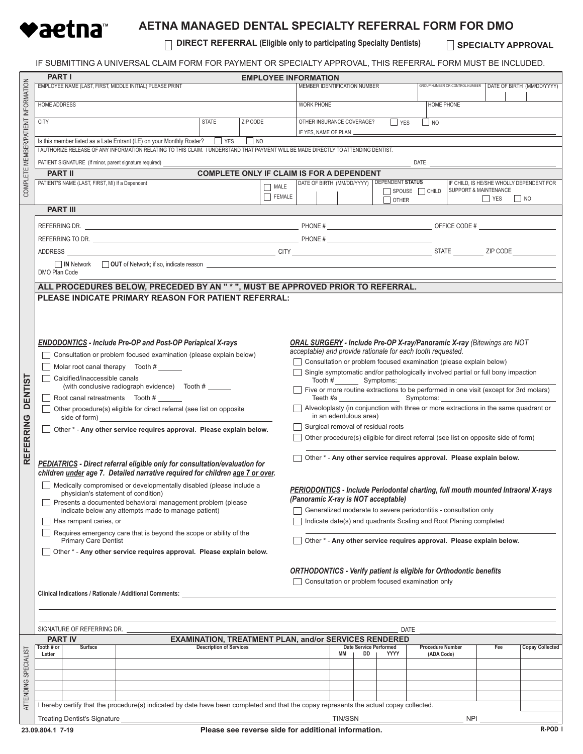

## **AETNA MANAGED DENTAL SPECIALTY REFERRAL FORM FOR DMO**

**DIRECT REFERRAL (Eligible only to participating Specialty Dentists)**

**SPECIALTY APPROVAL** 

IF SUBMITTING A UNIVERSAL CLAIM FORM FOR PAYMENT OR SPECIALTY APPROVAL, THIS REFERRAL FORM MUST BE INCLUDED.

|                                     | <b>PART I</b>                                                                                       |                                                                                       |                                                                                                                                        |                                                                                           |           |                                                              |                                                                                         |                                                                                      |    |                               |                                                                           |            |                                                                      |                        |  |  |
|-------------------------------------|-----------------------------------------------------------------------------------------------------|---------------------------------------------------------------------------------------|----------------------------------------------------------------------------------------------------------------------------------------|-------------------------------------------------------------------------------------------|-----------|--------------------------------------------------------------|-----------------------------------------------------------------------------------------|--------------------------------------------------------------------------------------|----|-------------------------------|---------------------------------------------------------------------------|------------|----------------------------------------------------------------------|------------------------|--|--|
|                                     |                                                                                                     | EMPLOYEE NAME (LAST, FIRST, MIDDLE INITIAL) PLEASE PRINT                              |                                                                                                                                        | <b>EMPLOYEE INFORMATION</b><br>GROUP NUMBER OR CONTROL NUMBER                             |           |                                                              |                                                                                         |                                                                                      |    |                               |                                                                           |            |                                                                      |                        |  |  |
|                                     |                                                                                                     | DATE OF BIRTH (MM/DD/YYYY)<br>MEMBER IDENTIFICATION NUMBER                            |                                                                                                                                        |                                                                                           |           |                                                              |                                                                                         |                                                                                      |    |                               |                                                                           |            |                                                                      |                        |  |  |
| COMPLETE MEMBER/PATIENT INFORMATION |                                                                                                     |                                                                                       |                                                                                                                                        |                                                                                           |           |                                                              |                                                                                         |                                                                                      |    |                               |                                                                           |            |                                                                      |                        |  |  |
|                                     | <b>HOME ADDRESS</b><br><b>CITY</b><br><b>STATE</b><br>ZIP CODE                                      |                                                                                       |                                                                                                                                        |                                                                                           |           |                                                              | <b>WORK PHONE</b><br><b>HOME PHONE</b>                                                  |                                                                                      |    |                               |                                                                           |            |                                                                      |                        |  |  |
|                                     |                                                                                                     |                                                                                       |                                                                                                                                        |                                                                                           |           |                                                              |                                                                                         |                                                                                      |    |                               |                                                                           |            |                                                                      |                        |  |  |
|                                     |                                                                                                     |                                                                                       |                                                                                                                                        |                                                                                           |           |                                                              | OTHER INSURANCE COVERAGE?<br><b>NES</b><br>$\Box$ NO                                    |                                                                                      |    |                               |                                                                           |            |                                                                      |                        |  |  |
|                                     |                                                                                                     |                                                                                       |                                                                                                                                        |                                                                                           |           |                                                              | IF YES, NAME OF PLAN _                                                                  |                                                                                      |    |                               |                                                                           |            |                                                                      |                        |  |  |
|                                     |                                                                                                     |                                                                                       | Is this member listed as a Late Entrant (LE) on your Monthly Roster? These                                                             |                                                                                           | $\Box$ NO |                                                              |                                                                                         |                                                                                      |    |                               |                                                                           |            |                                                                      |                        |  |  |
|                                     |                                                                                                     |                                                                                       | I AUTHORIZE RELEASE OF ANY INFORMATION RELATING TO THIS CLAIM. I UNDERSTAND THAT PAYMENT WILL BE MADE DIRECTLY TO ATTENDING DENTIST.   |                                                                                           |           |                                                              |                                                                                         |                                                                                      |    |                               |                                                                           |            |                                                                      |                        |  |  |
|                                     |                                                                                                     |                                                                                       |                                                                                                                                        |                                                                                           |           |                                                              |                                                                                         |                                                                                      |    |                               |                                                                           |            |                                                                      |                        |  |  |
|                                     |                                                                                                     |                                                                                       | PATIENT SIGNATURE (If minor, parent signature required) _                                                                              |                                                                                           |           |                                                              |                                                                                         |                                                                                      |    |                               | <b>DATE</b>                                                               |            |                                                                      |                        |  |  |
|                                     | <b>PART II</b>                                                                                      |                                                                                       |                                                                                                                                        | <b>COMPLETE ONLY IF CLAIM IS FOR A DEPENDENT</b>                                          |           |                                                              |                                                                                         |                                                                                      |    |                               |                                                                           |            |                                                                      |                        |  |  |
|                                     |                                                                                                     | PATIENT'S NAME (LAST, FIRST, MI) If a Dependent                                       |                                                                                                                                        | DATE OF BIRTH (MM/DD/YYYY)   DEPENDENT STATUS<br>IF CHILD, IS HE/SHE WHOLLY DEPENDENT FOR |           |                                                              |                                                                                         |                                                                                      |    |                               |                                                                           |            |                                                                      |                        |  |  |
|                                     |                                                                                                     |                                                                                       |                                                                                                                                        |                                                                                           |           | $\Box$ MALE                                                  |                                                                                         |                                                                                      |    |                               | $\Box$ SPOUSE $\Box$ CHILD                                                |            | <b>SUPPORT &amp; MAINTENANCE</b>                                     |                        |  |  |
|                                     |                                                                                                     |                                                                                       |                                                                                                                                        |                                                                                           |           | $\Box$ FEMALE                                                |                                                                                         |                                                                                      |    | $\Box$ other                  |                                                                           |            | YES<br>$\overline{\phantom{0}}$ NO                                   |                        |  |  |
|                                     |                                                                                                     |                                                                                       |                                                                                                                                        |                                                                                           |           |                                                              |                                                                                         |                                                                                      |    |                               |                                                                           |            |                                                                      |                        |  |  |
|                                     | <b>PART III</b>                                                                                     |                                                                                       |                                                                                                                                        |                                                                                           |           |                                                              |                                                                                         |                                                                                      |    |                               |                                                                           |            |                                                                      |                        |  |  |
|                                     |                                                                                                     |                                                                                       |                                                                                                                                        |                                                                                           |           |                                                              |                                                                                         |                                                                                      |    |                               |                                                                           |            |                                                                      |                        |  |  |
|                                     |                                                                                                     |                                                                                       |                                                                                                                                        |                                                                                           |           |                                                              |                                                                                         |                                                                                      |    |                               |                                                                           |            |                                                                      |                        |  |  |
|                                     |                                                                                                     |                                                                                       |                                                                                                                                        |                                                                                           |           |                                                              |                                                                                         |                                                                                      |    |                               |                                                                           |            |                                                                      |                        |  |  |
|                                     |                                                                                                     |                                                                                       |                                                                                                                                        |                                                                                           |           |                                                              |                                                                                         |                                                                                      |    |                               |                                                                           |            |                                                                      |                        |  |  |
|                                     |                                                                                                     |                                                                                       |                                                                                                                                        |                                                                                           |           |                                                              |                                                                                         |                                                                                      |    |                               |                                                                           |            |                                                                      |                        |  |  |
|                                     |                                                                                                     | <b>IN</b> Network                                                                     |                                                                                                                                        |                                                                                           |           |                                                              |                                                                                         |                                                                                      |    |                               |                                                                           |            |                                                                      |                        |  |  |
|                                     | DMO Plan Code                                                                                       |                                                                                       |                                                                                                                                        |                                                                                           |           |                                                              |                                                                                         |                                                                                      |    |                               |                                                                           |            |                                                                      |                        |  |  |
|                                     | ALL PROCEDURES BELOW, PRECEDED BY AN "*", MUST BE APPROVED PRIOR TO REFERRAL.                       |                                                                                       |                                                                                                                                        |                                                                                           |           |                                                              |                                                                                         |                                                                                      |    |                               |                                                                           |            |                                                                      |                        |  |  |
|                                     |                                                                                                     |                                                                                       |                                                                                                                                        |                                                                                           |           |                                                              |                                                                                         |                                                                                      |    |                               |                                                                           |            |                                                                      |                        |  |  |
|                                     |                                                                                                     |                                                                                       | PLEASE INDICATE PRIMARY REASON FOR PATIENT REFERRAL:                                                                                   |                                                                                           |           |                                                              |                                                                                         |                                                                                      |    |                               |                                                                           |            |                                                                      |                        |  |  |
|                                     |                                                                                                     |                                                                                       |                                                                                                                                        |                                                                                           |           |                                                              |                                                                                         |                                                                                      |    |                               |                                                                           |            |                                                                      |                        |  |  |
|                                     |                                                                                                     |                                                                                       |                                                                                                                                        |                                                                                           |           |                                                              |                                                                                         |                                                                                      |    |                               |                                                                           |            |                                                                      |                        |  |  |
|                                     |                                                                                                     |                                                                                       |                                                                                                                                        |                                                                                           |           |                                                              |                                                                                         |                                                                                      |    |                               |                                                                           |            |                                                                      |                        |  |  |
|                                     |                                                                                                     |                                                                                       |                                                                                                                                        |                                                                                           |           |                                                              |                                                                                         |                                                                                      |    |                               |                                                                           |            |                                                                      |                        |  |  |
|                                     |                                                                                                     |                                                                                       |                                                                                                                                        |                                                                                           |           |                                                              |                                                                                         |                                                                                      |    |                               |                                                                           |            |                                                                      |                        |  |  |
|                                     |                                                                                                     |                                                                                       | <b>ENDODONTICS</b> - Include Pre-OP and Post-OP Periapical X-rays                                                                      |                                                                                           |           |                                                              | <b>ORAL SURGERY</b> - Include Pre-OP X-ray/Panoramic X-ray (Bitewings are NOT           |                                                                                      |    |                               |                                                                           |            |                                                                      |                        |  |  |
|                                     |                                                                                                     |                                                                                       | Consultation or problem focused examination (please explain below)                                                                     |                                                                                           |           |                                                              |                                                                                         |                                                                                      |    |                               | acceptable) and provide rationale for each tooth requested.               |            |                                                                      |                        |  |  |
|                                     |                                                                                                     |                                                                                       |                                                                                                                                        | Consultation or problem focused examination (please explain below)                        |           |                                                              |                                                                                         |                                                                                      |    |                               |                                                                           |            |                                                                      |                        |  |  |
|                                     | Molar root canal therapy Tooth #                                                                    |                                                                                       |                                                                                                                                        |                                                                                           |           |                                                              |                                                                                         | Single symptomatic and/or pathologically involved partial or full bony impaction     |    |                               |                                                                           |            |                                                                      |                        |  |  |
|                                     |                                                                                                     | Calcified/inaccessible canals                                                         | (with conclusive radiograph evidence) Tooth #                                                                                          |                                                                                           |           |                                                              | Tooth # Symptoms:                                                                       |                                                                                      |    |                               |                                                                           |            |                                                                      |                        |  |  |
|                                     |                                                                                                     | Five or more routine extractions to be performed in one visit (except for 3rd molars) |                                                                                                                                        |                                                                                           |           |                                                              |                                                                                         |                                                                                      |    |                               |                                                                           |            |                                                                      |                        |  |  |
| <b>DENTIST</b>                      | Root canal retreatments Tooth #                                                                     |                                                                                       |                                                                                                                                        |                                                                                           |           |                                                              |                                                                                         |                                                                                      |    |                               |                                                                           |            |                                                                      |                        |  |  |
|                                     |                                                                                                     |                                                                                       |                                                                                                                                        |                                                                                           |           |                                                              |                                                                                         | Alveoloplasty (in conjunction with three or more extractions in the same quadrant or |    |                               |                                                                           |            |                                                                      |                        |  |  |
|                                     | Other procedure(s) eligible for direct referral (see list on opposite<br>side of form) side of form |                                                                                       |                                                                                                                                        |                                                                                           |           |                                                              |                                                                                         | in an edentulous area)                                                               |    |                               |                                                                           |            |                                                                      |                        |  |  |
| REFERRING                           |                                                                                                     |                                                                                       |                                                                                                                                        |                                                                                           |           |                                                              |                                                                                         |                                                                                      |    |                               |                                                                           |            |                                                                      |                        |  |  |
|                                     |                                                                                                     |                                                                                       | Other * - Any other service requires approval. Please explain below.                                                                   |                                                                                           |           |                                                              | Surgical removal of residual roots                                                      |                                                                                      |    |                               |                                                                           |            |                                                                      |                        |  |  |
|                                     |                                                                                                     |                                                                                       |                                                                                                                                        |                                                                                           |           |                                                              | Other procedure(s) eligible for direct referral (see list on opposite side of form)     |                                                                                      |    |                               |                                                                           |            |                                                                      |                        |  |  |
|                                     |                                                                                                     |                                                                                       |                                                                                                                                        |                                                                                           |           |                                                              |                                                                                         |                                                                                      |    |                               |                                                                           |            |                                                                      |                        |  |  |
|                                     |                                                                                                     |                                                                                       |                                                                                                                                        |                                                                                           |           |                                                              |                                                                                         |                                                                                      |    |                               |                                                                           |            | Other * - Any other service requires approval. Please explain below. |                        |  |  |
|                                     |                                                                                                     |                                                                                       | <b>PEDIATRICS</b> - Direct referral eligible only for consultation/evaluation for                                                      |                                                                                           |           |                                                              |                                                                                         |                                                                                      |    |                               |                                                                           |            |                                                                      |                        |  |  |
|                                     |                                                                                                     |                                                                                       | children under age 7. Detailed narrative required for children age 7 or over.                                                          |                                                                                           |           |                                                              |                                                                                         |                                                                                      |    |                               |                                                                           |            |                                                                      |                        |  |  |
|                                     |                                                                                                     |                                                                                       | Medically compromised or developmentally disabled (please include a                                                                    |                                                                                           |           |                                                              |                                                                                         |                                                                                      |    |                               |                                                                           |            |                                                                      |                        |  |  |
|                                     |                                                                                                     | physician's statement of condition)                                                   |                                                                                                                                        |                                                                                           |           |                                                              | <b>PERIODONTICS</b> - Include Periodontal charting, full mouth mounted Intraoral X-rays |                                                                                      |    |                               |                                                                           |            |                                                                      |                        |  |  |
|                                     |                                                                                                     |                                                                                       | Presents a documented behavioral management problem (please                                                                            |                                                                                           |           |                                                              | (Panoramic X-ray is NOT acceptable)                                                     |                                                                                      |    |                               |                                                                           |            |                                                                      |                        |  |  |
|                                     |                                                                                                     |                                                                                       | indicate below any attempts made to manage patient)                                                                                    |                                                                                           |           |                                                              | Generalized moderate to severe periodontitis - consultation only                        |                                                                                      |    |                               |                                                                           |            |                                                                      |                        |  |  |
|                                     |                                                                                                     | Has rampant caries, or                                                                |                                                                                                                                        |                                                                                           |           |                                                              | Indicate date(s) and quadrants Scaling and Root Planing completed                       |                                                                                      |    |                               |                                                                           |            |                                                                      |                        |  |  |
|                                     |                                                                                                     |                                                                                       |                                                                                                                                        |                                                                                           |           |                                                              |                                                                                         |                                                                                      |    |                               |                                                                           |            |                                                                      |                        |  |  |
|                                     | Requires emergency care that is beyond the scope or ability of the                                  |                                                                                       | Other * - Any other service requires approval. Please explain below.                                                                   |                                                                                           |           |                                                              |                                                                                         |                                                                                      |    |                               |                                                                           |            |                                                                      |                        |  |  |
|                                     | <b>Primary Care Dentist</b>                                                                         |                                                                                       |                                                                                                                                        |                                                                                           |           |                                                              |                                                                                         |                                                                                      |    |                               |                                                                           |            |                                                                      |                        |  |  |
|                                     | Other * - Any other service requires approval. Please explain below.                                |                                                                                       |                                                                                                                                        |                                                                                           |           |                                                              |                                                                                         |                                                                                      |    |                               |                                                                           |            |                                                                      |                        |  |  |
|                                     |                                                                                                     |                                                                                       |                                                                                                                                        |                                                                                           |           |                                                              |                                                                                         |                                                                                      |    |                               |                                                                           |            |                                                                      |                        |  |  |
|                                     |                                                                                                     |                                                                                       |                                                                                                                                        |                                                                                           |           |                                                              |                                                                                         |                                                                                      |    |                               | <b>ORTHODONTICS - Verify patient is eligible for Orthodontic benefits</b> |            |                                                                      |                        |  |  |
|                                     |                                                                                                     |                                                                                       |                                                                                                                                        |                                                                                           |           |                                                              |                                                                                         |                                                                                      |    |                               |                                                                           |            |                                                                      |                        |  |  |
|                                     |                                                                                                     |                                                                                       |                                                                                                                                        |                                                                                           |           |                                                              |                                                                                         | Consultation or problem focused examination only                                     |    |                               |                                                                           |            |                                                                      |                        |  |  |
|                                     | <b>Clinical Indications / Rationale / Additional Comments:</b>                                      |                                                                                       |                                                                                                                                        |                                                                                           |           |                                                              |                                                                                         |                                                                                      |    |                               |                                                                           |            |                                                                      |                        |  |  |
|                                     |                                                                                                     |                                                                                       |                                                                                                                                        |                                                                                           |           |                                                              |                                                                                         |                                                                                      |    |                               |                                                                           |            |                                                                      |                        |  |  |
|                                     |                                                                                                     |                                                                                       |                                                                                                                                        |                                                                                           |           |                                                              |                                                                                         |                                                                                      |    |                               |                                                                           |            |                                                                      |                        |  |  |
|                                     |                                                                                                     |                                                                                       |                                                                                                                                        |                                                                                           |           |                                                              |                                                                                         |                                                                                      |    |                               |                                                                           |            |                                                                      |                        |  |  |
|                                     | SIGNATURE OF REFERRING DR.<br>DATE                                                                  |                                                                                       |                                                                                                                                        |                                                                                           |           |                                                              |                                                                                         |                                                                                      |    |                               |                                                                           |            |                                                                      |                        |  |  |
|                                     | <b>PART IV</b>                                                                                      |                                                                                       |                                                                                                                                        |                                                                                           |           | <b>EXAMINATION, TREATMENT PLAN, and/or SERVICES RENDERED</b> |                                                                                         |                                                                                      |    |                               |                                                                           |            |                                                                      |                        |  |  |
|                                     | Tooth # or                                                                                          | Surface                                                                               |                                                                                                                                        | <b>Description of Services</b>                                                            |           |                                                              |                                                                                         |                                                                                      |    | <b>Date Service Performed</b> | <b>Procedure Number</b>                                                   |            | Fee                                                                  | <b>Copay Collected</b> |  |  |
|                                     | Letter                                                                                              |                                                                                       |                                                                                                                                        |                                                                                           |           |                                                              |                                                                                         | MМ                                                                                   | DD | YYYY                          | (ADA Code)                                                                |            |                                                                      |                        |  |  |
|                                     |                                                                                                     |                                                                                       |                                                                                                                                        |                                                                                           |           |                                                              |                                                                                         |                                                                                      |    |                               |                                                                           |            |                                                                      |                        |  |  |
| SPECIALIST                          |                                                                                                     |                                                                                       |                                                                                                                                        |                                                                                           |           |                                                              |                                                                                         |                                                                                      |    |                               |                                                                           |            |                                                                      |                        |  |  |
|                                     |                                                                                                     |                                                                                       |                                                                                                                                        |                                                                                           |           |                                                              |                                                                                         |                                                                                      |    |                               |                                                                           |            |                                                                      |                        |  |  |
|                                     |                                                                                                     |                                                                                       |                                                                                                                                        |                                                                                           |           |                                                              |                                                                                         |                                                                                      |    |                               |                                                                           |            |                                                                      |                        |  |  |
| <b>ATTENDING</b>                    |                                                                                                     |                                                                                       | I hereby certify that the procedure(s) indicated by date have been completed and that the copay represents the actual copay collected. |                                                                                           |           |                                                              |                                                                                         |                                                                                      |    |                               |                                                                           |            |                                                                      |                        |  |  |
|                                     |                                                                                                     |                                                                                       |                                                                                                                                        |                                                                                           |           |                                                              |                                                                                         |                                                                                      |    |                               |                                                                           |            |                                                                      |                        |  |  |
|                                     |                                                                                                     | <b>Treating Dentist's Signature</b>                                                   |                                                                                                                                        |                                                                                           |           |                                                              |                                                                                         | TIN/SSN                                                                              |    |                               |                                                                           | <b>NPI</b> |                                                                      |                        |  |  |